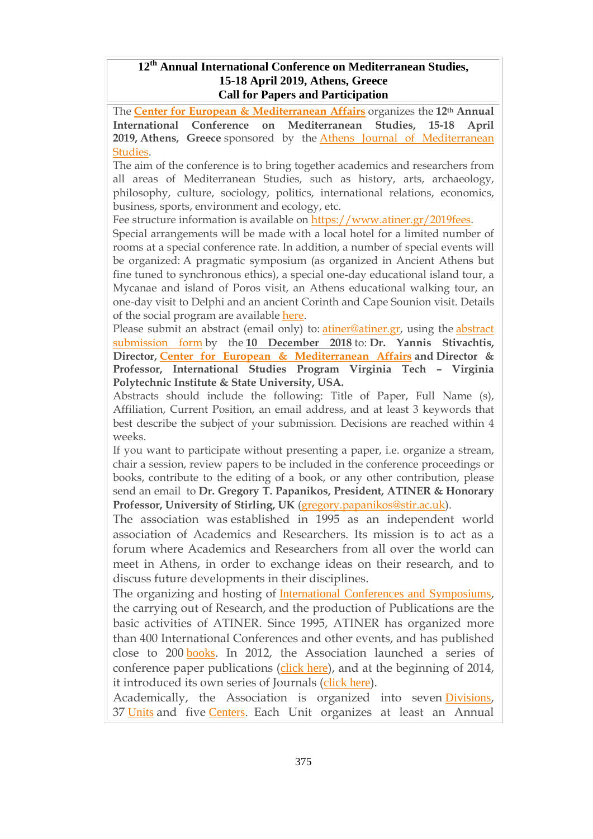#### **12 th Annual International Conference on Mediterranean Studies, 15-18 April 2019, Athens, Greece Call for Papers and Participation**

The **Center for European & [Mediterranean](http://www.atiner.gr/cema) Affairs** organizes the **12th Annual International Conference on Mediterranean Studies, 15-18 April 2019, Athens, Greece** sponsored by the Athens Journal of [Mediterranean](http://www.athensjournals.gr/ajms) [Studies.](http://www.athensjournals.gr/ajms)

The aim of the conference is to bring together academics and researchers from all areas of Mediterranean Studies, such as history, arts, archaeology, philosophy, culture, sociology, politics, international relations, economics, business, sports, environment and ecology, etc.

Fee structure information is available on [https://www.atiner.gr/2019fees.](https://www.atiner.gr/2019fees)

Special arrangements will be made with a local hotel for a limited number of rooms at a special conference rate. In addition, a number of special events will be organized: A pragmatic symposium (as organized in Ancient Athens but fine tuned to synchronous ethics), a special one-day educational island tour, a Mycanae and island of Poros visit, an Athens educational walking tour, an one-day visit to Delphi and an ancient Corinth and Cape Sounion visit. Details of the social program are available [here.](http://www.atiner.gr/social-program)

Please submit an [abstract](https://www.atiner.gr/2019/FORM-MDT.doc) (email only) to: *atiner@atiner.gr*, using the *abstract* [submission](https://www.atiner.gr/2019/FORM-MDT.doc) form by the **10 December 2018** to: **Dr. Yannis Stivachtis, Director, Center for European & [Mediterranean](http://www.atiner.gr/cema) Affairs and Director & Professor, International Studies Program Virginia Tech – Virginia Polytechnic Institute & State University, USA.**

Abstracts should include the following: Title of Paper, Full Name (s), Affiliation, Current Position, an email address, and at least 3 keywords that best describe the subject of your submission. Decisions are reached within 4 weeks.

If you want to participate without presenting a paper, i.e. organize a stream, chair a session, review papers to be included in the conference proceedings or books, contribute to the editing of a book, or any other contribution, please send an email to **Dr. Gregory T. Papanikos, President, ATINER & Honorary Professor, University of Stirling, UK** [\(gregory.papanikos@stir.ac.uk\)](mailto:gregory.papanikos@stir.ac.uk).

The association was established in 1995 as an independent world association of Academics and Researchers. Its mission is to act as a forum where Academics and Researchers from all over the world can meet in Athens, in order to exchange ideas on their research, and to discuss future developments in their disciplines.

The organizing and hosting of **International Conferences and [Symposiums](http://www.atiner.gr/Conferences.htm)**, the carrying out of Research, and the production of Publications are the basic activities of ATINER. Since 1995, ATINER has organized more than 400 International Conferences and other events, and has published close to 200 [books](http://www.atiner.gr/Publications.htm). In 2012, the Association launched a series of conference paper publications ([click](http://www.atiner.gr/papers.htm) here), and at the beginning of 2014, it introduced its own series of Journals ([click](http://www.athensjournals.gr/) here).

Academically, the Association is organized into seven [Divisions](https://www.atiner.gr/research-divisions), 37 [Units](https://www.atiner.gr/research-divisions) and five [Centers](https://www.atiner.gr/centers). Each Unit organizes at least an Annual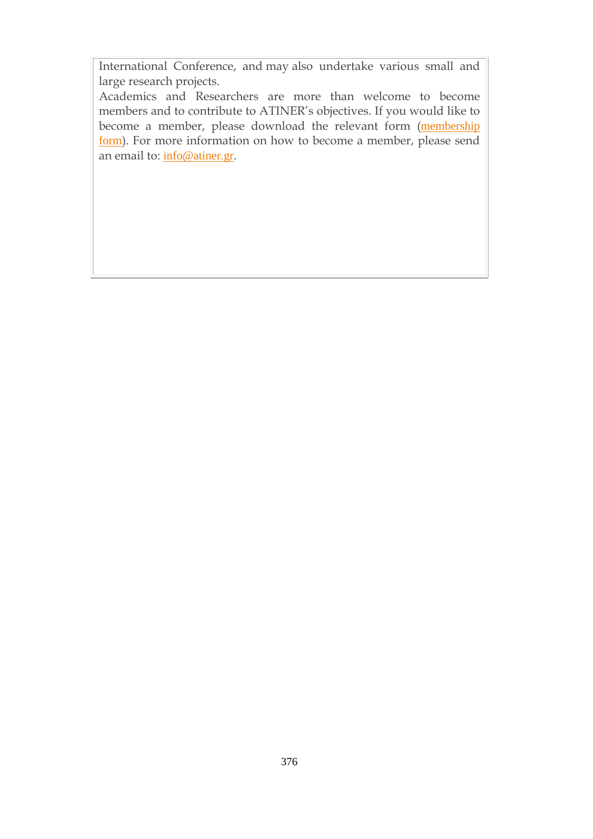International Conference, and may also undertake various small and large research projects.

Academics and Researchers are more than welcome to become members and to contribute to ATINER's objectives. If you would like to become a member, please download the relevant form ([membership](https://www.atiner.gr/member.doc) [form](https://www.atiner.gr/member.doc)). For more information on how to become a member, please send an email to: [info@atiner.gr](mailto:info@atiner.gr).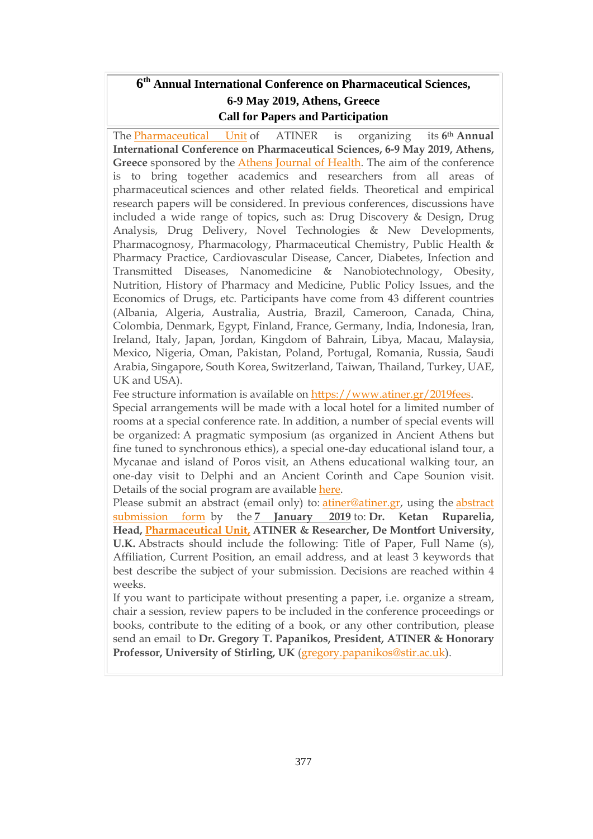# **6 th Annual International Conference on Pharmaceutical Sciences, 6-9 May 2019, Athens, Greece Call for Papers and Participation**

The [Pharmaceutical](http://www.atiner.gr/pharmaceutical-unit) Unit of ATINER is organizing its **6th Annual International Conference on Pharmaceutical Sciences, 6-9 May 2019, Athens, Greece** sponsored by the Athens [Journal](http://www.athensjournals.gr/ajh) of Health. The aim of the conference is to bring together academics and researchers from all areas of pharmaceutical sciences and other related fields. Theoretical and empirical research papers will be considered. In previous conferences, discussions have included a wide range of topics, such as: Drug Discovery & Design, Drug Analysis, Drug Delivery, Novel Technologies & New Developments, Pharmacognosy, Pharmacology, Pharmaceutical Chemistry, Public Health & Pharmacy Practice, Cardiovascular Disease, Cancer, Diabetes, Infection and Transmitted Diseases, Nanomedicine & Nanobiotechnology, Obesity, Nutrition, History of Pharmacy and Medicine, Public Policy Issues, and the Economics of Drugs, etc. Participants have come from 43 different countries (Albania, Algeria, Australia, Austria, Brazil, Cameroon, Canada, China, Colombia, Denmark, Egypt, Finland, France, Germany, India, Indonesia, Iran, Ireland, Italy, Japan, Jordan, Kingdom of Bahrain, Libya, Macau, Malaysia, Mexico, Nigeria, Oman, Pakistan, Poland, Portugal, Romania, Russia, Saudi Arabia, Singapore, South Korea, Switzerland, Taiwan, Thailand, Turkey, UAE, UK and USA).

Fee structure information is available on [https://www.atiner.gr/2019fees.](https://www.atiner.gr/2019fees)

Special arrangements will be made with a local hotel for a limited number of rooms at a special conference rate. In addition, a number of special events will be organized: A pragmatic symposium (as organized in Ancient Athens but fine tuned to synchronous ethics), a special one-day educational island tour, a Mycanae and island of Poros visit, an Athens educational walking tour, an one-day visit to Delphi and an Ancient Corinth and Cape Sounion visit. Details of the social program are available [here.](http://www.atiner.gr/social-program)

Please submit an abstract (email only) to: [atiner@atiner.gr,](mailto:atiner@atiner.gr) using the [abstract](https://www.atiner.gr/2019/FORM-PHA.doc) [submission](https://www.atiner.gr/2019/FORM-PHA.doc) form by the **7 January 2019** to: **Dr. Ketan Ruparelia, Head, [Pharmaceutical](http://www.atiner.gr/pharmaceutical-unit) Unit, ATINER & Researcher, De Montfort University, U.K.** Abstracts should include the following: Title of Paper, Full Name (s), Affiliation, Current Position, an email address, and at least 3 keywords that best describe the subject of your submission. Decisions are reached within 4 weeks.

If you want to participate without presenting a paper, i.e. organize a stream, chair a session, review papers to be included in the conference proceedings or books, contribute to the editing of a book, or any other contribution, please send an email to **Dr. Gregory T. Papanikos, President, ATINER & Honorary Professor, University of Stirling, UK** [\(gregory.papanikos@stir.ac.uk\)](mailto:gregory.papanikos@stir.ac.uk).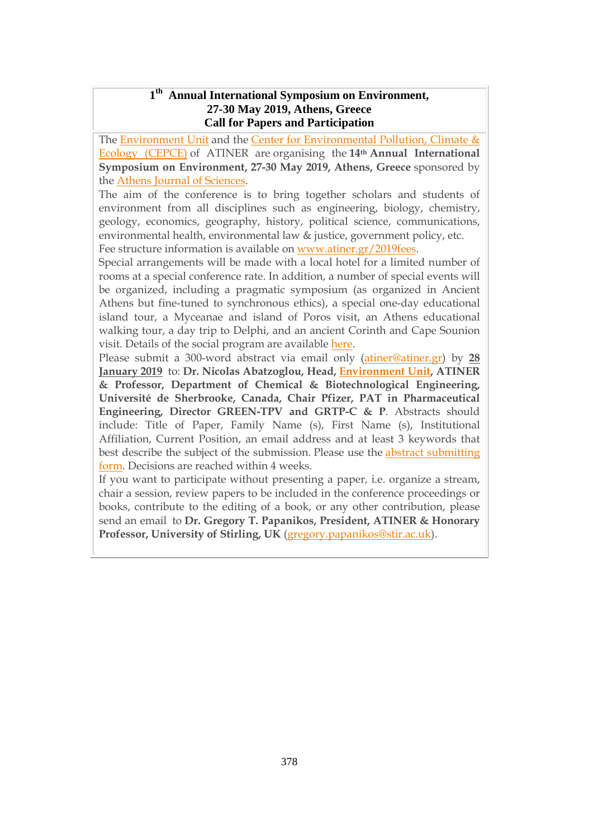#### **1 th Annual International Symposium on Environment, 27-30 May 2019, Athens, Greece Call for Papers and Participation**

The **[Environment](http://www.atiner.gr/environment-unit) Unit** and the **Center for [Environmental](https://www.atiner.gr/cepce) Pollution**, Climate & Ecology [\(CEPCE\)](https://www.atiner.gr/cepce) of ATINER are organising the **14th Annual International Symposium on Environment, 27-30 May 2019, Athens, Greece** sponsored by the Athens Journal of [Sciences.](http://www.athensjournals.gr/ajs)

The aim of the conference is to bring together scholars and students of environment from all disciplines such as engineering, biology, chemistry, geology, economics, geography, history, political science, communications, environmental health, environmental law & justice, government policy, etc. Fee structure information is available on [www.atiner.gr/2019fees.](https://www.atiner.gr/2019fees)

Special arrangements will be made with a local hotel for a limited number of rooms at a special conference rate. In addition, a number of special events will be organized, including a pragmatic symposium (as organized in Ancient Athens but fine-tuned to synchronous ethics), a special one-day educational island tour, a Myceanae and island of Poros visit, an Athens educational walking tour, a day trip to Delphi, and an ancient Corinth and Cape Sounion visit. Details of the social program are available [here.](http://www.atiner.gr/social-program)

Please submit a 300-word abstract via email only [\(atiner@atiner.gr\)](mailto:atiner@atiner.gr) by **28 January 2019** to: **Dr. Nicolas Abatzoglou, Head, [Environment](http://www.atiner.gr/docs/ENVIRONMENT_UNIT.htm) Unit, ATINER & Professor, Department of Chemical & Biotechnological Engineering, Université de Sherbrooke, Canada, Chair Pfizer, PAT in Pharmaceutical Engineering, Director GREEN-TPV and GRTP-C & P**. Abstracts should include: Title of Paper, Family Name (s), First Name (s), Institutional Affiliation, Current Position, an email address and at least 3 keywords that best describe the subject of the submission. Please use the abstract [submitting](https://www.atiner.gr/2019/FORM-ENV.doc) [form.](https://www.atiner.gr/2019/FORM-ENV.doc) Decisions are reached within 4 weeks.

If you want to participate without presenting a paper, i.e. organize a stream, chair a session, review papers to be included in the conference proceedings or books, contribute to the editing of a book, or any other contribution, please send an email to **Dr. Gregory T. Papanikos, President, ATINER & Honorary Professor, University of Stirling, UK** [\(gregory.papanikos@stir.ac.uk\)](mailto:gregory.papanikos@stir.ac.uk).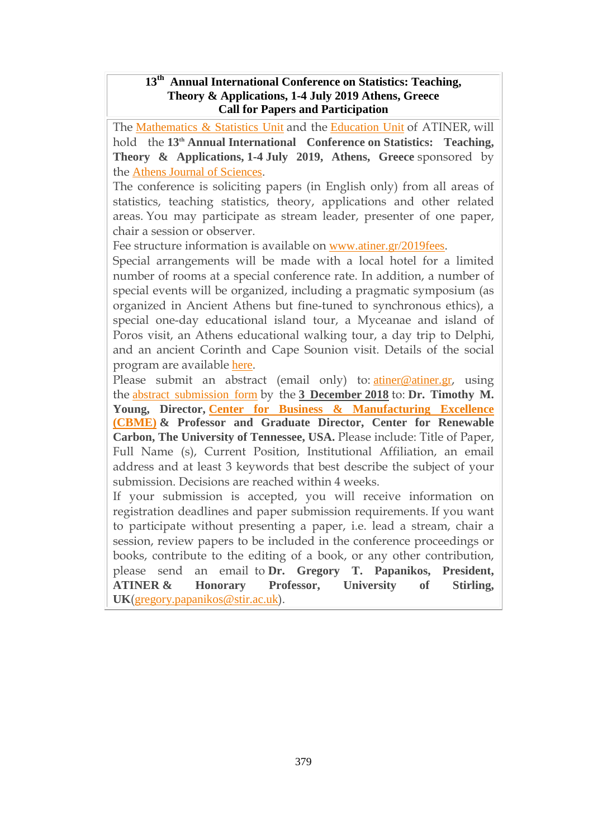### **13 th Annual International Conference on Statistics: Teaching, Theory & Applications, 1-4 July 2019 Athens, Greece Call for Papers and Participation**

The [Mathematics](https://www.atiner.gr/mathematics-unit) & Statistics Unit and the [Education](http://atiner.gr/education-unit) Unit of ATINER, will hold the **13th Annual International Conference on Statistics: Teaching, Theory & Applications, 1-4 July 2019, Athens, Greece** sponsored by the Athens Journal of [Sciences](http://www.athensjournals.gr/ajs).

The conference is soliciting papers (in English only) from all areas of statistics, teaching statistics, theory, applications and other related areas. You may participate as stream leader, presenter of one paper, chair a session or observer.

Fee structure information is available on [www.atiner.gr/2019fees](https://www.atiner.gr/2019fees).

Special arrangements will be made with a local hotel for a limited number of rooms at a special conference rate. In addition, a number of special events will be organized, including a pragmatic symposium (as organized in Ancient Athens but fine-tuned to synchronous ethics), a special one-day educational island tour, a Myceanae and island of Poros visit, an Athens educational walking tour, a day trip to Delphi, and an ancient Corinth and Cape Sounion visit. Details of the social program are available [here](http://www.atiner.gr/social-program).

Please submit an abstract (email only) to: [atiner@atiner.gr](mailto:atiner@atiner.gr), using the abstract [submission](https://www.atiner.gr/2019/FORM-STA.doc) form by the **3 December 2018** to: **Dr. Timothy M. Young, Director, Center for Business & [Manufacturing](https://www.atiner.gr/cbme) Excellence [\(CBME\)](https://www.atiner.gr/cbme) & Professor and Graduate Director, Center for Renewable Carbon, The University of Tennessee, USA.** Please include: Title of Paper, Full Name (s), Current Position, Institutional Affiliation, an email address and at least 3 keywords that best describe the subject of your submission. Decisions are reached within 4 weeks.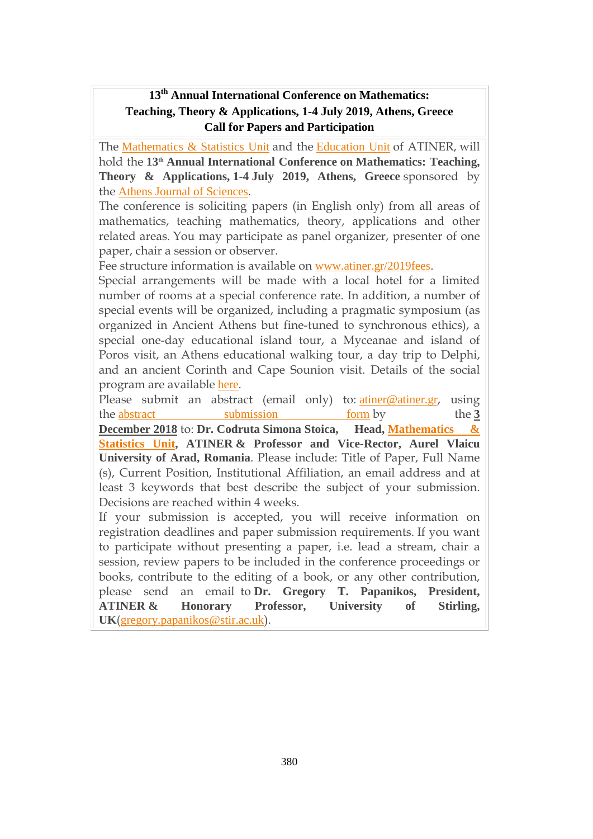## **13 th Annual International Conference on Mathematics: Teaching, Theory & Applications, 1-4 July 2019, Athens, Greece Call for Papers and Participation**

The [Mathematics](https://www.atiner.gr/mathematics-unit) & Statistics Unit and the [Education](http://atiner.gr/education-unit) Unit of ATINER, will hold the **13th Annual International Conference on Mathematics: Teaching, Theory & Applications, 1-4 July 2019, Athens, Greece** sponsored by the Athens Journal of [Sciences](http://www.athensjournals.gr/ajs).

The conference is soliciting papers (in English only) from all areas of mathematics, teaching mathematics, theory, applications and other related areas. You may participate as panel organizer, presenter of one paper, chair a session or observer.

Fee structure information is available on [www.atiner.gr/2019fees](https://www.atiner.gr/2019fees).

Special arrangements will be made with a local hotel for a limited number of rooms at a special conference rate. In addition, a number of special events will be organized, including a pragmatic symposium (as organized in Ancient Athens but fine-tuned to synchronous ethics), a special one-day educational island tour, a Myceanae and island of Poros visit, an Athens educational walking tour, a day trip to Delphi, and an ancient Corinth and Cape Sounion visit. Details of the social program are available [here](http://www.atiner.gr/social-program).

Please submit an abstract (email only) to: [atiner@atiner.gr](mailto:atiner@atiner.gr), using the abstract [submission](http://www.atiner.gr/2019/FORM-EMS.doc) form by the 3 **December 2018** to: **Dr. Codruta Simona Stoica, Head, [Mathematics](https://www.atiner.gr/mathematics-unit) & [Statistics](https://www.atiner.gr/mathematics-unit) Unit, ATINER & Professor and Vice-Rector, Aurel Vlaicu University of Arad, Romania**. Please include: Title of Paper, Full Name (s), Current Position, Institutional Affiliation, an email address and at least 3 keywords that best describe the subject of your submission. Decisions are reached within 4 weeks.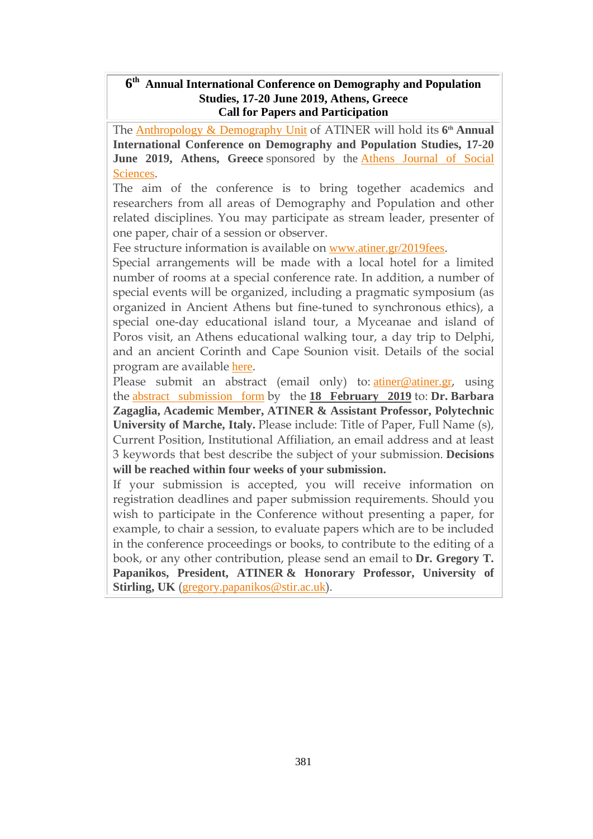#### **6 th Annual International Conference on Demography and Population Studies, 17-20 June 2019, Athens, Greece Call for Papers and Participation**

The [Anthropology](http://www.atiner.gr/anthropology-unit) & Demography Unit of ATINER will hold its **6 th Annual International Conference on Demography and Population Studies, 17-20 June 2019, Athens, Greece** sponsored by the Athens [Journal](http://www.athensjournals.gr/ajss) of Social [Sciences](http://www.athensjournals.gr/ajss).

The aim of the conference is to bring together academics and researchers from all areas of Demography and Population and other related disciplines. You may participate as stream leader, presenter of one paper, chair of a session or observer.

Fee structure information is available on [www.atiner.gr/2019fees](https://www.atiner.gr/2019fees).

Special arrangements will be made with a local hotel for a limited number of rooms at a special conference rate. In addition, a number of special events will be organized, including a pragmatic symposium (as organized in Ancient Athens but fine-tuned to synchronous ethics), a special one-day educational island tour, a Myceanae and island of Poros visit, an Athens educational walking tour, a day trip to Delphi, and an ancient Corinth and Cape Sounion visit. Details of the social program are available [here](http://www.atiner.gr/social-program).

Please submit an abstract (email only) to: *[atiner@atiner.gr](mailto:atiner@atiner.gr)*, using the abstract [submission](https://www.atiner.gr/2019/FORM-DEM.doc) form by the **18 February 2019** to: **Dr. Barbara Zagaglia, Academic Member, ATINER & Assistant Professor, Polytechnic University of Marche, Italy.** Please include: Title of Paper, Full Name (s), Current Position, Institutional Affiliation, an email address and at least 3 keywords that best describe the subject of your submission. **Decisions will be reached within four weeks of your submission.**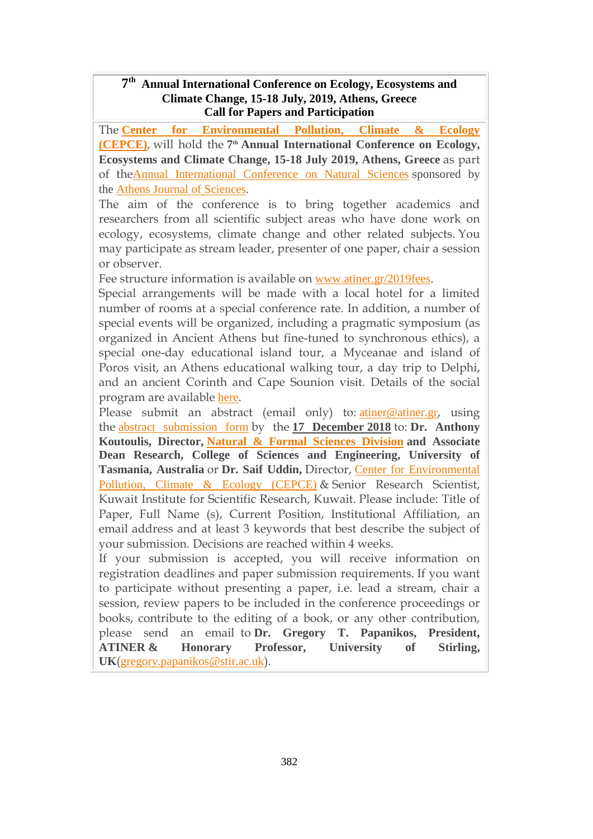#### **7 th Annual International Conference on Ecology, Ecosystems and Climate Change, 15-18 July, 2019, Athens, Greece Call for Papers and Participation**

The **Center for [Environmental](https://www.atiner.gr/cepce) Pollution, Climate & Ecology [\(CEPCE\)](https://www.atiner.gr/cepce)**, will hold the **7 th Annual International Conference on Ecology, Ecosystems and Climate Change, 15-18 July 2019, Athens, Greece** as part of theAnnual [International](https://www.atiner.gr/natural) Conference on Natural Sciences sponsored by the Athens Journal of [Sciences](http://www.athensjournals.gr/ajs).

The aim of the conference is to bring together academics and researchers from all scientific subject areas who have done work on ecology, ecosystems, climate change and other related subjects. You may participate as stream leader, presenter of one paper, chair a session or observer.

Fee structure information is available on [www.atiner.gr/2019fees](https://www.atiner.gr/2019fees).

Special arrangements will be made with a local hotel for a limited number of rooms at a special conference rate. In addition, a number of special events will be organized, including a pragmatic symposium (as organized in Ancient Athens but fine-tuned to synchronous ethics), a special one-day educational island tour, a Myceanae and island of Poros visit, an Athens educational walking tour, a day trip to Delphi, and an ancient Corinth and Cape Sounion visit. Details of the social program are available [here](http://www.atiner.gr/social-program).

Please submit an abstract (email only) to: [atiner@atiner.gr](mailto:atiner@atiner.gr), using the abstract [submission](https://www.atiner.gr/2019/FORM-ECL.doc) form by the **17 December 2018** to: **Dr. Anthony Koutoulis, Director, Natural & Formal [Sciences](https://www.atiner.gr/srd) Division and Associate Dean Research, College of Sciences and Engineering, University of Tasmania, Australia** or **Dr. Saif Uddin,** Director, Center for [Environmental](https://www.atiner.gr/cepce) [Pollution,](https://www.atiner.gr/cepce) Climate & Ecology (CEPCE) & Senior Research Scientist, Kuwait Institute for Scientific Research, Kuwait. Please include: Title of Paper, Full Name (s), Current Position, Institutional Affiliation, an email address and at least 3 keywords that best describe the subject of your submission. Decisions are reached within 4 weeks.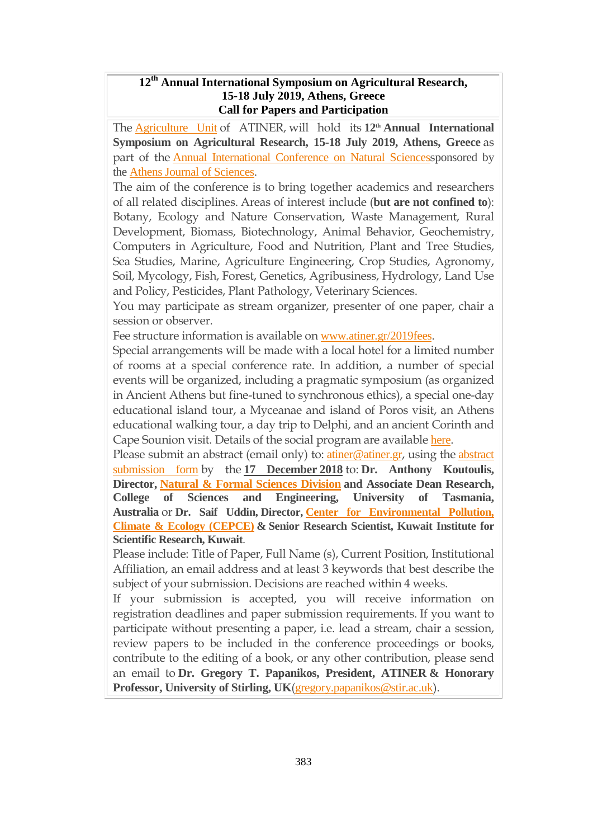### **12 th Annual International Symposium on Agricultural Research, 15-18 July 2019, Athens, Greece Call for Papers and Participation**

The [Agriculture](http://www.atiner.gr/AGRICULTURE-UNIT) Unit of ATINER, will hold its **12th Annual International Symposium on Agricultural Research, 15-18 July 2019, Athens, Greece** as part of the **Annual [International](https://www.atiner.gr/natural) Conference on Natural Sciencessponsored by** the Athens Journal of [Sciences](http://www.athensjournals.gr/ajs).

The aim of the conference is to bring together academics and researchers of all related disciplines. Areas of interest include (**but are not confined to**): Botany, Ecology and Nature Conservation, Waste Management, Rural Development, Biomass, Biotechnology, Animal Behavior, Geochemistry, Computers in Agriculture, Food and Nutrition, Plant and Tree Studies, Sea Studies, Marine, Agriculture Engineering, Crop Studies, Agronomy, Soil, Mycology, Fish, Forest, Genetics, Agribusiness, Hydrology, Land Use and Policy, Pesticides, Plant Pathology, Veterinary Sciences.

You may participate as stream organizer, presenter of one paper, chair a session or observer.

Fee structure information is available on [www.atiner.gr/2019fees](https://www.atiner.gr/2019fees).

Special arrangements will be made with a local hotel for a limited number of rooms at a special conference rate. In addition, a number of special events will be organized, including a pragmatic symposium (as organized in Ancient Athens but fine-tuned to synchronous ethics), a special one-day educational island tour, a Myceanae and island of Poros visit, an Athens educational walking tour, a day trip to Delphi, and an ancient Corinth and Cape Sounion visit. Details of the social program are available [here](http://www.atiner.gr/social-program).

Please submit an [abstract](https://www.atiner.gr/2019/FORM-AGR.doc) (email only) to: *[atiner@atiner.gr](mailto:atiner@atiner.gr)*, using the *abstract* [submission](https://www.atiner.gr/2019/FORM-AGR.doc) form by the **17 December 2018** to: **Dr. Anthony Koutoulis, Director, Natural & Formal [Sciences](https://www.atiner.gr/srd) Division and Associate Dean Research, College of Sciences and Engineering, University of Tasmania, Australia** or **Dr. Saif Uddin, Director, Center for [Environmental](https://www.atiner.gr/cepce) Pollution, Climate & Ecology [\(CEPCE\)](https://www.atiner.gr/cepce) & Senior Research Scientist, Kuwait Institute for Scientific Research, Kuwait**.

Please include: Title of Paper, Full Name (s), Current Position, Institutional Affiliation, an email address and at least 3 keywords that best describe the subject of your submission. Decisions are reached within 4 weeks.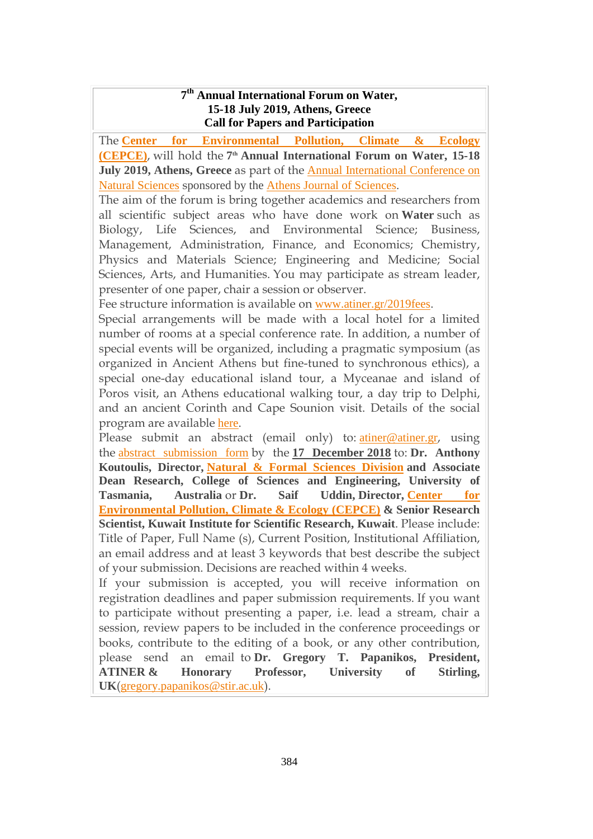#### **7 th Annual International Forum on Water, 15-18 July 2019, Athens, Greece Call for Papers and Participation**

The **Center for [Environmental](https://www.atiner.gr/cepce) Pollution, Climate & Ecology [\(CEPCE\)](https://www.atiner.gr/cepce)**, will hold the **7 th Annual International Forum on Water, 15-18 July 2019, Athens, Greece** as part of the Annual [International](https://www.atiner.gr/natural) Conference on Natural [Sciences](https://www.atiner.gr/natural) sponsored by the Athens Journal of [Sciences](http://www.athensjournals.gr/ajs).

The aim of the forum is bring together academics and researchers from all scientific subject areas who have done work on **Water** such as Biology, Life Sciences, and Environmental Science; Business, Management, Administration, Finance, and Economics; Chemistry, Physics and Materials Science; Engineering and Medicine; Social Sciences, Arts, and Humanities. You may participate as stream leader, presenter of one paper, chair a session or observer.

Fee structure information is available on [www.atiner.gr/2019fees](https://www.atiner.gr/2019fees).

Special arrangements will be made with a local hotel for a limited number of rooms at a special conference rate. In addition, a number of special events will be organized, including a pragmatic symposium (as organized in Ancient Athens but fine-tuned to synchronous ethics), a special one-day educational island tour, a Myceanae and island of Poros visit, an Athens educational walking tour, a day trip to Delphi, and an ancient Corinth and Cape Sounion visit. Details of the social program are available [here](http://www.atiner.gr/social-program).

Please submit an abstract (email only) to: [atiner@atiner.gr](mailto:atiner@atiner.gr), using the abstract [submission](https://www.atiner.gr/2019/FORM-WAT.doc) form by the **17 December 2018** to: **Dr. Anthony Koutoulis, Director, Natural & Formal [Sciences](https://www.atiner.gr/srd) Division and Associate Dean Research, College of Sciences and Engineering, University of Tasmania, Australia** or **Dr. Saif Uddin, Director, [Center](https://www.atiner.gr/cepce) for [Environmental](https://www.atiner.gr/cepce) Pollution, Climate & Ecology (CEPCE) & Senior Research Scientist, Kuwait Institute for Scientific Research, Kuwait**. Please include: Title of Paper, Full Name (s), Current Position, Institutional Affiliation, an email address and at least 3 keywords that best describe the subject of your submission. Decisions are reached within 4 weeks.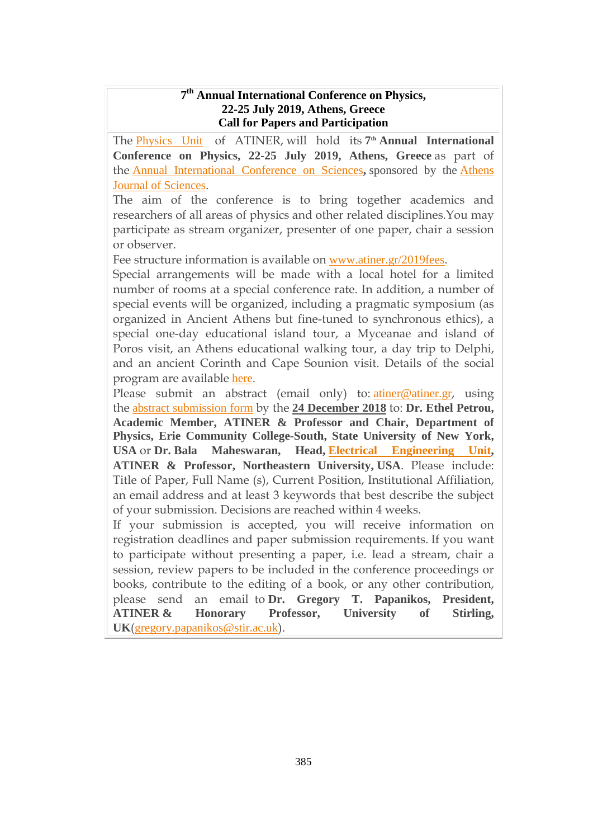#### **7 th Annual International Conference on Physics, 22-25 July 2019, Athens, Greece Call for Papers and Participation**

The [Physics](http://www.atiner.gr/PHYSICS-UNIT) Unit of ATINER, will hold its **7 th Annual International Conference on Physics, 22-25 July 2019, Athens, Greece** as part of the Annual [International](https://www.atiner.gr/sciences) Conference on Sciences**,** sponsored by the [Athens](http://www.athensjournals.gr/ajs) Journal of [Sciences](http://www.athensjournals.gr/ajs).

The aim of the conference is to bring together academics and researchers of all areas of physics and other related disciplines.You may participate as stream organizer, presenter of one paper, chair a session or observer.

Fee structure information is available on [www.atiner.gr/2019fees](https://www.atiner.gr/2019fees).

Special arrangements will be made with a local hotel for a limited number of rooms at a special conference rate. In addition, a number of special events will be organized, including a pragmatic symposium (as organized in Ancient Athens but fine-tuned to synchronous ethics), a special one-day educational island tour, a Myceanae and island of Poros visit, an Athens educational walking tour, a day trip to Delphi, and an ancient Corinth and Cape Sounion visit. Details of the social program are available [here](http://www.atiner.gr/social-program).

Please submit an abstract (email only) to: [atiner@atiner.gr](mailto:atiner@atiner.gr), using the abstract [submission](https://www.atiner.gr/2019/FORM-PHY.doc) form by the **24 December 2018** to: **Dr. Ethel Petrou, Academic Member, ATINER & Professor and Chair, Department of Physics, Erie Community College-South, State University of New York, USA** or **Dr. Bala Maheswaran, Head, Electrical [Engineering](https://www.atiner.gr/ELECTRICAL-UNIT) Unit, ATINER & Professor, Northeastern University, USA**. Please include: Title of Paper, Full Name (s), Current Position, Institutional Affiliation, an email address and at least 3 keywords that best describe the subject of your submission. Decisions are reached within 4 weeks.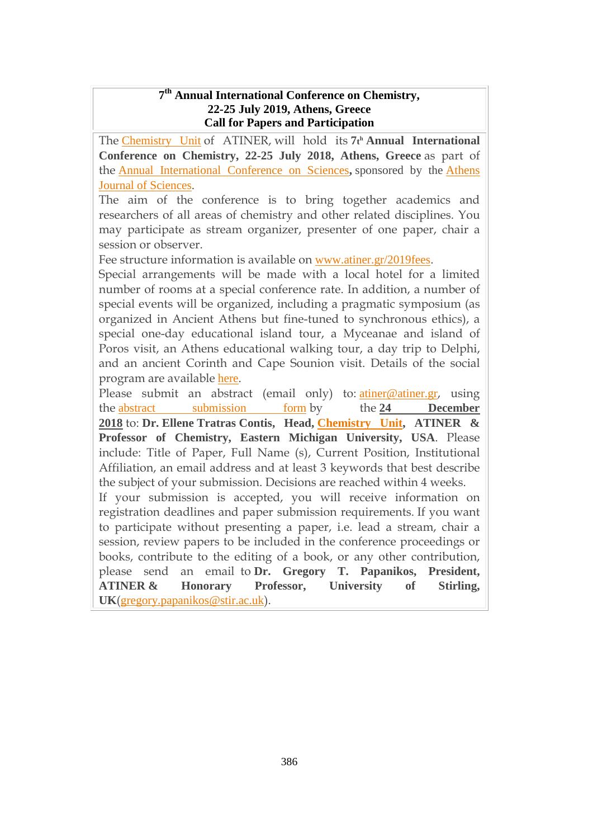#### **7 th Annual International Conference on Chemistry, 22-25 July 2019, Athens, Greece Call for Papers and Participation**

The [Chemistry](http://www.atiner.gr/CHEMISTRY-UNIT) Unit of ATINER, will hold its **7t <sup>h</sup> Annual International Conference on Chemistry, 22-25 July 2018, Athens, Greece** as part of the Annual [International](https://www.atiner.gr/sciences) Conference on Sciences**,** sponsored by the [Athens](http://www.athensjournals.gr/ajs) Journal of [Sciences](http://www.athensjournals.gr/ajs).

The aim of the conference is to bring together academics and researchers of all areas of chemistry and other related disciplines. You may participate as stream organizer, presenter of one paper, chair a session or observer.

Fee structure information is available on [www.atiner.gr/2019fees](https://www.atiner.gr/2019fees).

Special arrangements will be made with a local hotel for a limited number of rooms at a special conference rate. In addition, a number of special events will be organized, including a pragmatic symposium (as organized in Ancient Athens but fine-tuned to synchronous ethics), a special one-day educational island tour, a Myceanae and island of Poros visit, an Athens educational walking tour, a day trip to Delphi, and an ancient Corinth and Cape Sounion visit. Details of the social program are available [here](http://www.atiner.gr/social-program).

Please submit an abstract (email only) to: [atiner@atiner.gr](mailto:atiner@atiner.gr), using the abstract [submission](https://www.atiner.gr/2019/FORM-CHE.doc) form by the **24 December 2018** to: **Dr. Ellene Tratras Contis, Head, [Chemistry](http://www.atiner.gr/CHEMISTRY-UNIT.htm) Unit, ATINER & Professor of Chemistry, Eastern Michigan University, USA**. Please include: Title of Paper, Full Name (s), Current Position, Institutional Affiliation, an email address and at least 3 keywords that best describe the subject of your submission. Decisions are reached within 4 weeks.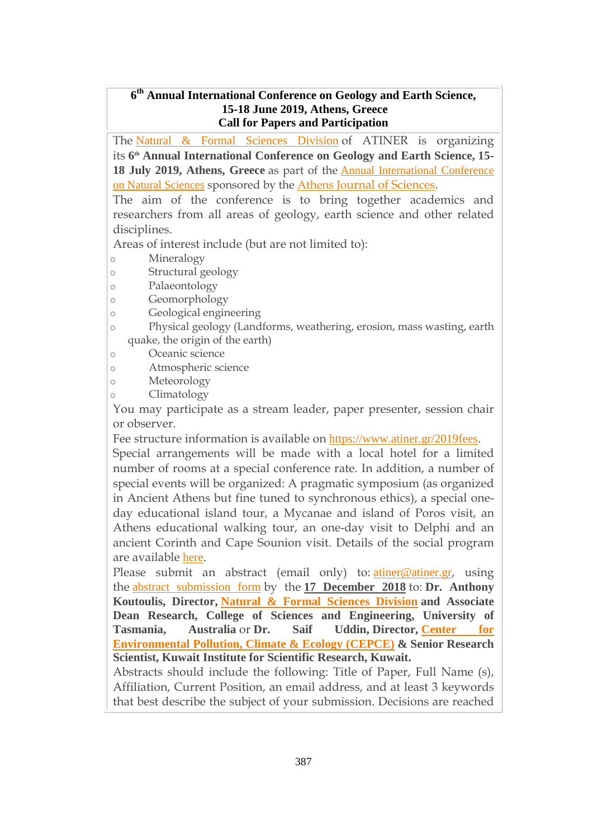### **6 th Annual International Conference on Geology and Earth Science, 15-18 June 2019, Athens, Greece Call for Papers and Participation**

The Natural & Formal [Sciences](http://www.atiner.gr/srd) Division of ATINER is organizing its **6 th Annual International Conference on Geology and Earth Science, 15- 18 July 2019, Athens, Greece** as part of the Annual [International](https://www.atiner.gr/natural) Conference on Natural [Sciences](https://www.atiner.gr/natural) sponsored by the [Athens](http://www.athensjournals.gr/ajs) Journal of [Sciences.](http://www.athensjournals.gr/ajs)

The aim of the conference is to bring together academics and researchers from all areas of geology, earth science and other related disciplines.

Areas of interest include (but are not limited to):

- o Mineralogy
- o Structural geology
- o Palaeontology
- o Geomorphology
- o Geological engineering
- o Physical geology (Landforms, weathering, erosion, mass wasting, earth quake, the origin of the earth)
- o Oceanic science

o Atmospheric science

- o Meteorology
- o Climatology

You may participate as a stream leader, paper presenter, session chair or observer.

Fee structure information is available on <https://www.atiner.gr/2019fees>.

Special arrangements will be made with a local hotel for a limited number of rooms at a special conference rate. In addition, a number of special events will be organized: A pragmatic symposium (as organized in Ancient Athens but fine tuned to synchronous ethics), a special oneday educational island tour, a Mycanae and island of Poros visit, an Athens educational walking tour, an one-day visit to Delphi and an ancient Corinth and Cape Sounion visit. Details of the social program are available [here](http://www.atiner.gr/social-program).

Please submit an abstract (email only) to: [atiner@atiner.gr](mailto:atiner@atiner.gr), using the abstract [submission](https://www.atiner.gr/2019/FORM-GEL.doc) form by the **17 December 2018** to: **Dr. Anthony Koutoulis, Director, Natural & Formal [Sciences](https://www.atiner.gr/srd) Division and Associate Dean Research, College of Sciences and Engineering, University of Tasmania, Australia** or **Dr. Saif Uddin, Director, [Center](https://www.atiner.gr/cepce) for [Environmental](https://www.atiner.gr/cepce) Pollution, Climate & Ecology (CEPCE) & Senior Research Scientist, Kuwait Institute for Scientific Research, Kuwait.**

Abstracts should include the following: Title of Paper, Full Name (s), Affiliation, Current Position, an email address, and at least 3 keywords that best describe the subject of your submission. Decisions are reached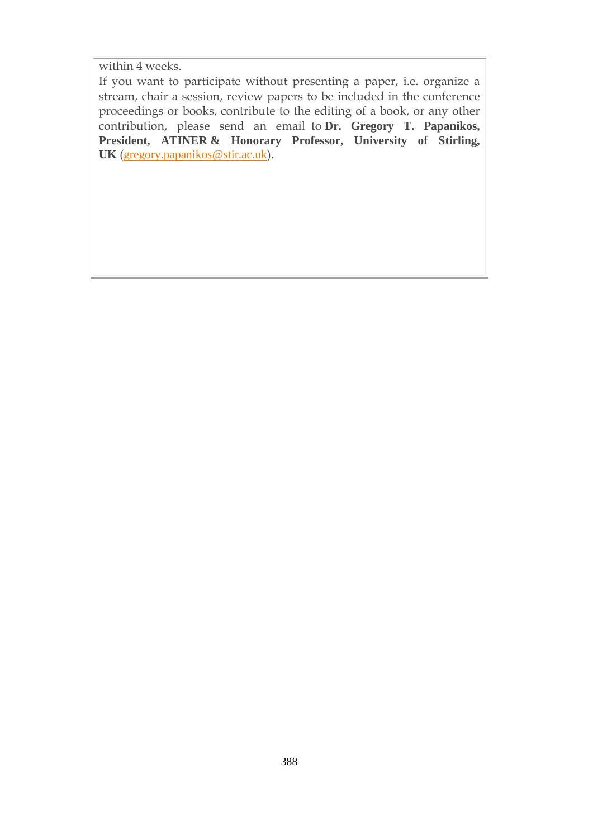within 4 weeks.

If you want to participate without presenting a paper, i.e. organize a stream, chair a session, review papers to be included in the conference proceedings or books, contribute to the editing of a book, or any other contribution, please send an email to **Dr. Gregory T. Papanikos, President, ATINER & Honorary Professor, University of Stirling, UK** ([gregory.papanikos@stir.ac.uk](mailto:gregory.papanikos@stir.ac.uk)).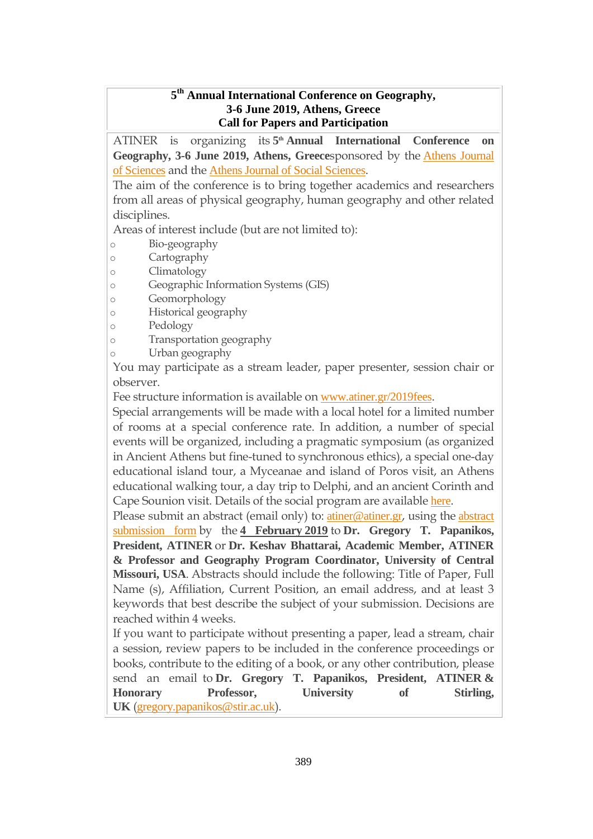### **5 th Annual International Conference on Geography, 3-6 June 2019, Athens, Greece Call for Papers and Participation**

ATINER is organizing its **5 th Annual International Conference on Geography, 3-6 June 2019, Athens, Greece**sponsored by the Athens [Journal](http://www.athensjournals.gr/ajs) of [Sciences](http://www.athensjournals.gr/ajs) and the Athens Journal of Social [Sciences](http://www.athensjournals.gr/ajss).

The aim of the conference is to bring together academics and researchers from all areas of physical geography, human geography and other related disciplines.

Areas of interest include (but are not limited to):

- o Bio-geography
- o Cartography
- o Climatology
- o Geographic Information Systems (GIS)
- o Geomorphology
- o Historical geography
- o Pedology
- o Transportation geography
- o Urban geography

You may participate as a stream leader, paper presenter, session chair or observer.

Fee structure information is available on [www.atiner.gr/2019fees](https://www.atiner.gr/2019fees).

Special arrangements will be made with a local hotel for a limited number of rooms at a special conference rate. In addition, a number of special events will be organized, including a pragmatic symposium (as organized in Ancient Athens but fine-tuned to synchronous ethics), a special one-day educational island tour, a Myceanae and island of Poros visit, an Athens educational walking tour, a day trip to Delphi, and an ancient Corinth and Cape Sounion visit. Details of the social program are available [here](http://www.atiner.gr/social-program).

Please submit an [abstract](https://www.atiner.gr/2019/FORM-GEO.doc) (email only) to: *[atiner@atiner.gr](mailto:atiner@atiner.gr)*, using the *abstract* [submission](https://www.atiner.gr/2019/FORM-GEO.doc) form by the **4 February 2019** to **Dr. Gregory T. Papanikos, President, ATINER** or **Dr. Keshav Bhattarai, Academic Member, ATINER & Professor and Geography Program Coordinator, University of Central Missouri, USA**. Abstracts should include the following: Title of Paper, Full Name (s), Affiliation, Current Position, an email address, and at least 3 keywords that best describe the subject of your submission. Decisions are reached within 4 weeks.

If you want to participate without presenting a paper, lead a stream, chair a session, review papers to be included in the conference proceedings or books, contribute to the editing of a book, or any other contribution, please send an email to **Dr. Gregory T. Papanikos, President, ATINER & Honorary Professor, University of Stirling, UK** ([gregory.papanikos@stir.ac.uk](mailto:gregory.papanikos@stir.ac.uk)).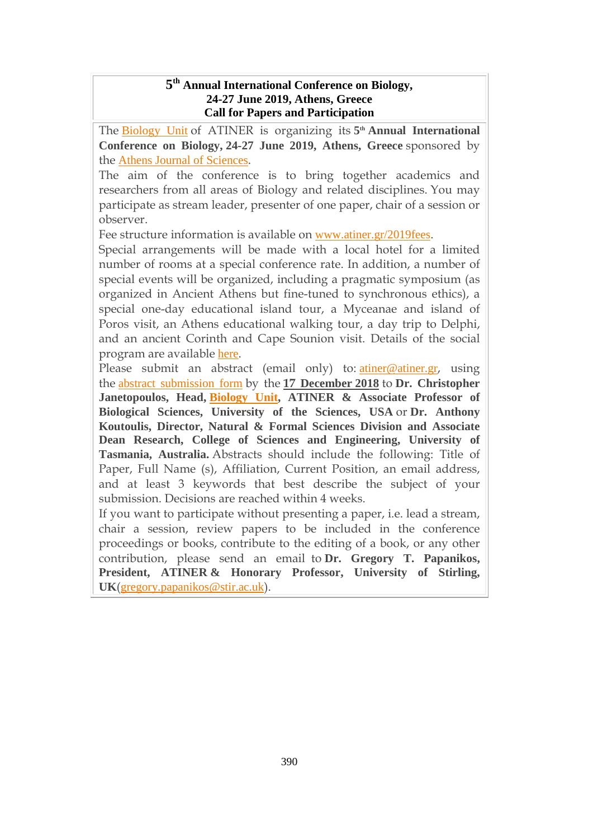### **5 th Annual International Conference on Biology, 24-27 June 2019, Athens, Greece Call for Papers and Participation**

The [Biology](http://www.atiner.gr/biology-unit) Unit of ATINER is organizing its **5 th Annual International Conference on Biology, 24-27 June 2019, Athens, Greece** sponsored by the Athens Journal of [Sciences](http://athensjournals.gr/ajs).

The aim of the conference is to bring together academics and researchers from all areas of Biology and related disciplines. You may participate as stream leader, presenter of one paper, chair of a session or observer.

Fee structure information is available on [www.atiner.gr/2019fees](https://www.atiner.gr/2019fees).

Special arrangements will be made with a local hotel for a limited number of rooms at a special conference rate. In addition, a number of special events will be organized, including a pragmatic symposium (as organized in Ancient Athens but fine-tuned to synchronous ethics), a special one-day educational island tour, a Myceanae and island of Poros visit, an Athens educational walking tour, a day trip to Delphi, and an ancient Corinth and Cape Sounion visit. Details of the social program are available [here](http://www.atiner.gr/social-program).

Please submit an abstract (email only) to: *[atiner@atiner.gr](mailto:atiner@atiner.gr)*, using the abstract [submission](https://www.atiner.gr/2019/FORM-BIO.doc) form by the **17 December 2018** to **Dr. Christopher Janetopoulos, Head, [Biology](http://www.atiner.gr/BIOLOGY-UNIT.htm) Unit, ATINER & Associate Professor of Biological Sciences, University of the Sciences, USA** or **Dr. Anthony Koutoulis, Director, Natural & Formal Sciences Division and Associate Dean Research, College of Sciences and Engineering, University of Tasmania, Australia.** Abstracts should include the following: Title of Paper, Full Name (s), Affiliation, Current Position, an email address, and at least 3 keywords that best describe the subject of your submission. Decisions are reached within 4 weeks.

If you want to participate without presenting a paper, i.e. lead a stream, chair a session, review papers to be included in the conference proceedings or books, contribute to the editing of a book, or any other contribution, please send an email to **Dr. Gregory T. Papanikos, President, ATINER & Honorary Professor, University of Stirling, UK**([gregory.papanikos@stir.ac.uk](mailto:gregory.papanikos@stir.ac.uk)).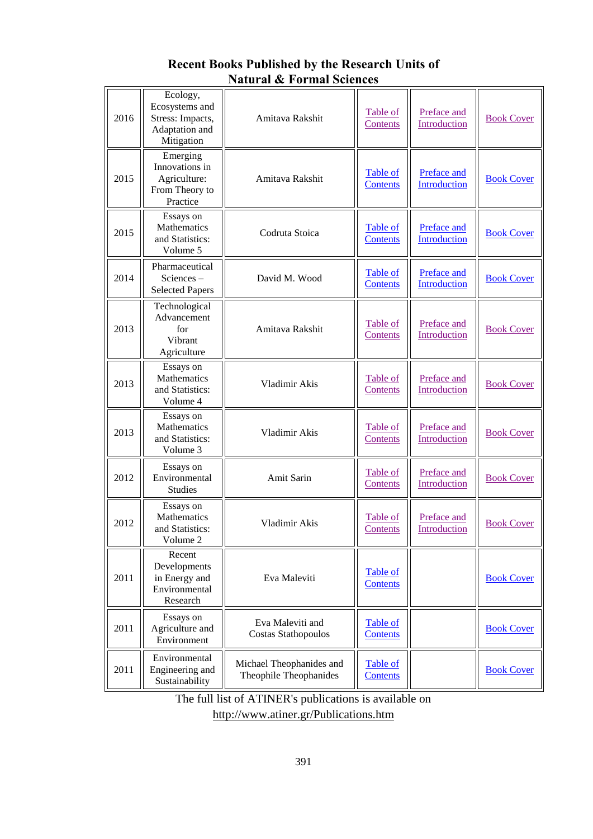| 2016 | Ecology,<br>Ecosystems and<br>Stress: Impacts,<br>Adaptation and<br>Mitigation | Amitava Rakshit                                    | <b>Table of</b><br>Contents        | Preface and<br>Introduction               | <b>Book Cover</b> |
|------|--------------------------------------------------------------------------------|----------------------------------------------------|------------------------------------|-------------------------------------------|-------------------|
| 2015 | Emerging<br>Innovations in<br>Agriculture:<br>From Theory to<br>Practice       | Amitava Rakshit                                    | <b>Table of</b><br><b>Contents</b> | Preface and<br>Introduction               | <b>Book Cover</b> |
| 2015 | Essays on<br>Mathematics<br>and Statistics:<br>Volume 5                        | Codruta Stoica                                     | Table of<br><b>Contents</b>        | Preface and<br>Introduction               | <b>Book Cover</b> |
| 2014 | Pharmaceutical<br>Sciences-<br><b>Selected Papers</b>                          | David M. Wood                                      | <b>Table of</b><br><b>Contents</b> | <b>Preface and</b><br><b>Introduction</b> | <b>Book Cover</b> |
| 2013 | Technological<br>Advancement<br>for<br>Vibrant<br>Agriculture                  | Amitava Rakshit                                    | <b>Table of</b><br>Contents        | Preface and<br>Introduction               | <b>Book Cover</b> |
| 2013 | Essays on<br>Mathematics<br>and Statistics:<br>Volume 4                        | Vladimir Akis                                      | Table of<br>Contents               | Preface and<br>Introduction               | <b>Book Cover</b> |
| 2013 | Essays on<br>Mathematics<br>and Statistics:<br>Volume 3                        | Vladimir Akis                                      | Table of<br>Contents               | Preface and<br>Introduction               | <b>Book Cover</b> |
| 2012 | Essays on<br>Environmental<br><b>Studies</b>                                   | Amit Sarin                                         | Table of<br>Contents               | Preface and<br>Introduction               | <b>Book Cover</b> |
| 2012 | Essays on<br>Mathematics<br>and Statistics:<br>Volume 2                        | Vladimir Akis                                      | Table of<br>Contents               | Preface and<br>Introduction               | <b>Book Cover</b> |
| 2011 | Recent<br>Developments<br>in Energy and<br>Environmental<br>Research           | Eva Maleviti                                       | Table of<br><b>Contents</b>        |                                           | <b>Book Cover</b> |
| 2011 | Essays on<br>Agriculture and<br>Environment                                    | Eva Maleviti and<br><b>Costas Stathopoulos</b>     | <b>Table of</b><br><b>Contents</b> |                                           | <b>Book Cover</b> |
| 2011 | Environmental<br>Engineering and<br>Sustainability                             | Michael Theophanides and<br>Theophile Theophanides | <b>Table of</b><br><b>Contents</b> |                                           | <b>Book Cover</b> |

## **Recent Books Published by the Research Units of Natural & Formal Sciences**

The full list of ATINER's publications is available on <http://www.atiner.gr/Publications.htm>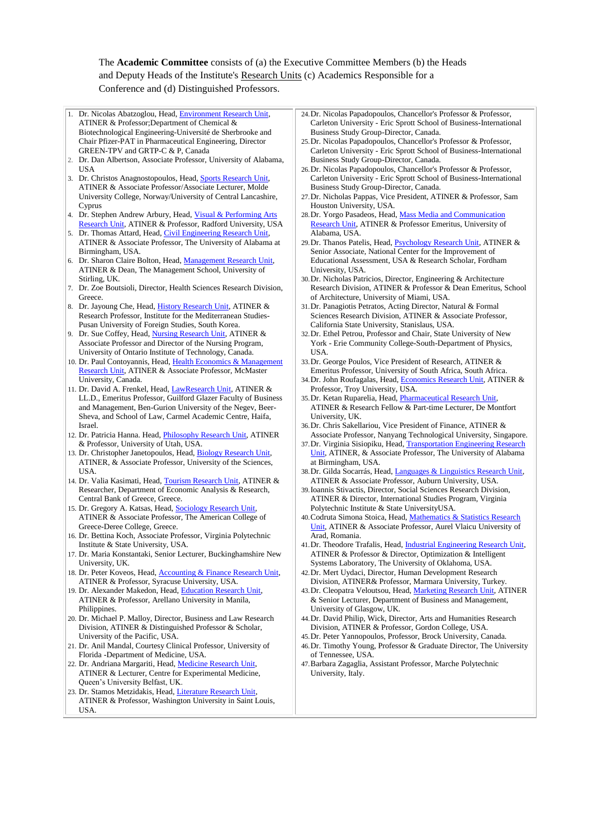#### The **Academic Committee** consists of (a) the Executive Committee Members (b) the Heads and Deputy Heads of the Institute's [Research Units](http://www.atiner.gr/RESEARCH-DIVISIONS.htm) (c) Academics Responsible for a

#### Conference and (d) Distinguished Professors.

| 1. Dr. Nicolas Abatzoglou, Head, Environment Research Unit,                                               | 24. Dr. Nicolas Papadopoulos, Chancellor's Professor & Professor,                                            |
|-----------------------------------------------------------------------------------------------------------|--------------------------------------------------------------------------------------------------------------|
| ATINER & Professor; Department of Chemical &<br>Biotechnological Engineering-Université de Sherbrooke and | Carleton University - Eric Sprott School of Business-International<br>Business Study Group-Director, Canada. |
| Chair Pfizer-PAT in Pharmaceutical Engineering, Director                                                  | 25. Dr. Nicolas Papadopoulos, Chancellor's Professor & Professor,                                            |
| GREEN-TPV and GRTP-C & P, Canada                                                                          | Carleton University - Eric Sprott School of Business-International                                           |
| 2. Dr. Dan Albertson, Associate Professor, University of Alabama,                                         | Business Study Group-Director, Canada.                                                                       |
| USA                                                                                                       | 26. Dr. Nicolas Papadopoulos, Chancellor's Professor & Professor,                                            |
| 3. Dr. Christos Anagnostopoulos, Head, Sports Research Unit,                                              | Carleton University - Eric Sprott School of Business-International                                           |
| ATINER & Associate Professor/Associate Lecturer, Molde                                                    | Business Study Group-Director, Canada.                                                                       |
| University College, Norway/University of Central Lancashire,                                              | 27. Dr. Nicholas Pappas, Vice President, ATINER & Professor, Sam                                             |
| Cyprus                                                                                                    | Houston University, USA.                                                                                     |
| 4. Dr. Stephen Andrew Arbury, Head, Visual & Performing Arts                                              | 28. Dr. Yorgo Pasadeos, Head, Mass Media and Communication                                                   |
| Research Unit, ATINER & Professor, Radford University, USA                                                | Research Unit, ATINER & Professor Emeritus, University of                                                    |
| 5. Dr. Thomas Attard, Head, Civil Engineering Research Unit,                                              | Alabama, USA.                                                                                                |
| ATINER & Associate Professor, The University of Alabama at                                                | 29. Dr. Thanos Patelis, Head, Psychology Research Unit, ATINER &                                             |
| Birmingham, USA.                                                                                          | Senior Associate, National Center for the Improvement of                                                     |
| 6. Dr. Sharon Claire Bolton, Head, Management Research Unit,                                              | Educational Assessment, USA & Research Scholar, Fordham                                                      |
| ATINER & Dean, The Management School, University of                                                       | University, USA.                                                                                             |
|                                                                                                           |                                                                                                              |
| Stirling, UK.                                                                                             | 30. Dr. Nicholas Patricios, Director, Engineering & Architecture                                             |
| 7. Dr. Zoe Boutsioli, Director, Health Sciences Research Division,                                        | Research Division, ATINER & Professor & Dean Emeritus, School                                                |
| Greece.                                                                                                   | of Architecture, University of Miami, USA.                                                                   |
| 8. Dr. Jayoung Che, Head, History Research Unit, ATINER &                                                 | 31. Dr. Panagiotis Petratos, Acting Director, Natural & Formal                                               |
| Research Professor, Institute for the Mediterranean Studies-                                              | Sciences Research Division, ATINER & Associate Professor,                                                    |
| Pusan University of Foreign Studies, South Korea.                                                         | California State University, Stanislaus, USA.                                                                |
| 9. Dr. Sue Coffey, Head, Nursing Research Unit, ATINER &                                                  | 32. Dr. Ethel Petrou, Professor and Chair, State University of New                                           |
| Associate Professor and Director of the Nursing Program,                                                  | York - Erie Community College-South-Department of Physics,                                                   |
| University of Ontario Institute of Technology, Canada.                                                    | USA.                                                                                                         |
| 10. Dr. Paul Contoyannis, Head, Health Economics & Management                                             | 33. Dr. George Poulos, Vice President of Research, ATINER &                                                  |
| Research Unit, ATINER & Associate Professor, McMaster                                                     | Emeritus Professor, University of South Africa, South Africa.                                                |
|                                                                                                           |                                                                                                              |
| University, Canada.                                                                                       | 34. Dr. John Roufagalas, Head, Economics Research Unit, ATINER &                                             |
| 11. Dr. David A. Frenkel, Head, LawResearch Unit, ATINER &                                                | Professor, Troy University, USA.                                                                             |
| LL.D., Emeritus Professor, Guilford Glazer Faculty of Business                                            | 35. Dr. Ketan Ruparelia, Head, <i>Pharmaceutical Research Unit,</i>                                          |
| and Management, Ben-Gurion University of the Negev, Beer-                                                 | ATINER & Research Fellow & Part-time Lecturer, De Montfort                                                   |
| Sheva, and School of Law, Carmel Academic Centre, Haifa,                                                  | University, UK.                                                                                              |
| Israel.                                                                                                   | 36. Dr. Chris Sakellariou, Vice President of Finance, ATINER &                                               |
| 12. Dr. Patricia Hanna. Head, Philosophy Research Unit, ATINER                                            | Associate Professor, Nanyang Technological University, Singapore.                                            |
| & Professor, University of Utah, USA.                                                                     | 37. Dr. Virginia Sisiopiku, Head, Transportation Engineering Research                                        |
| 13. Dr. Christopher Janetopoulos, Head, Biology Research Unit,                                            | Unit, ATINER, & Associate Professor, The University of Alabama                                               |
| ATINER, & Associate Professor, University of the Sciences,                                                | at Birmingham, USA.                                                                                          |
| USA.                                                                                                      | 38. Dr. Gilda Socarrás, Head, Languages & Linguistics Research Unit,                                         |
| 14. Dr. Valia Kasimati, Head, Tourism Research Unit, ATINER &                                             | ATINER & Associate Professor, Auburn University, USA.                                                        |
| Researcher, Department of Economic Analysis & Research,                                                   | 39. Ioannis Stivactis, Director, Social Sciences Research Division,                                          |
|                                                                                                           | ATINER & Director, International Studies Program, Virginia                                                   |
| Central Bank of Greece, Greece.                                                                           |                                                                                                              |
| 15. Dr. Gregory A. Katsas, Head, Sociology Research Unit,                                                 | Polytechnic Institute & State UniversityUSA.                                                                 |
| ATINER & Associate Professor, The American College of                                                     | 40. Codruta Simona Stoica, Head, Mathematics & Statistics Research                                           |
| Greece-Deree College, Greece.                                                                             | Unit, ATINER & Associate Professor, Aurel Vlaicu University of                                               |
| 16. Dr. Bettina Koch, Associate Professor, Virginia Polytechnic                                           | Arad, Romania.                                                                                               |
| Institute & State University, USA.                                                                        | 41. Dr. Theodore Trafalis, Head, <i>Industrial Engineering Research Unit</i> ,                               |
| 17. Dr. Maria Konstantaki, Senior Lecturer, Buckinghamshire New                                           | ATINER & Professor & Director, Optimization & Intelligent                                                    |
| University, UK.                                                                                           | Systems Laboratory, The University of Oklahoma, USA.                                                         |
| 18. Dr. Peter Koveos, Head, Accounting & Finance Research Unit,                                           | 42. Dr. Mert Uydaci, Director, Human Development Research                                                    |
| ATINER & Professor, Syracuse University, USA.                                                             | Division, ATINER& Professor, Marmara University, Turkey.                                                     |
| 19. Dr. Alexander Makedon, Head, Education Research Unit,                                                 | 43. Dr. Cleopatra Veloutsou, Head, Marketing Research Unit, ATINER                                           |
| ATINER & Professor, Arellano University in Manila,                                                        | & Senior Lecturer, Department of Business and Management,                                                    |
| Philippines.                                                                                              | University of Glasgow, UK.                                                                                   |
| 20. Dr. Michael P. Malloy, Director, Business and Law Research                                            | 44. Dr. David Philip, Wick, Director, Arts and Humanities Research                                           |
| Division, ATINER & Distinguished Professor & Scholar,                                                     | Division, ATINER & Professor, Gordon College, USA.                                                           |
| University of the Pacific, USA.                                                                           | 45. Dr. Peter Yannopoulos, Professor, Brock University, Canada.                                              |
| 21. Dr. Anil Mandal, Courtesy Clinical Professor, University of                                           | 46. Dr. Timothy Young, Professor & Graduate Director, The University                                         |
|                                                                                                           |                                                                                                              |
| Florida -Department of Medicine, USA.                                                                     | of Tennessee, USA.                                                                                           |
| 22. Dr. Andriana Margariti, Head, Medicine Research Unit,                                                 | 47. Barbara Zagaglia, Assistant Professor, Marche Polytechnic                                                |
| ATINER & Lecturer, Centre for Experimental Medicine,                                                      | University, Italy.                                                                                           |
| Queen's University Belfast, UK.                                                                           |                                                                                                              |
| 23. Dr. Stamos Metzidakis, Head, Literature Research Unit,                                                |                                                                                                              |
| ATINER & Professor, Washington University in Saint Louis,                                                 |                                                                                                              |
| USA.                                                                                                      |                                                                                                              |
|                                                                                                           |                                                                                                              |
|                                                                                                           |                                                                                                              |
|                                                                                                           |                                                                                                              |
|                                                                                                           |                                                                                                              |
|                                                                                                           |                                                                                                              |